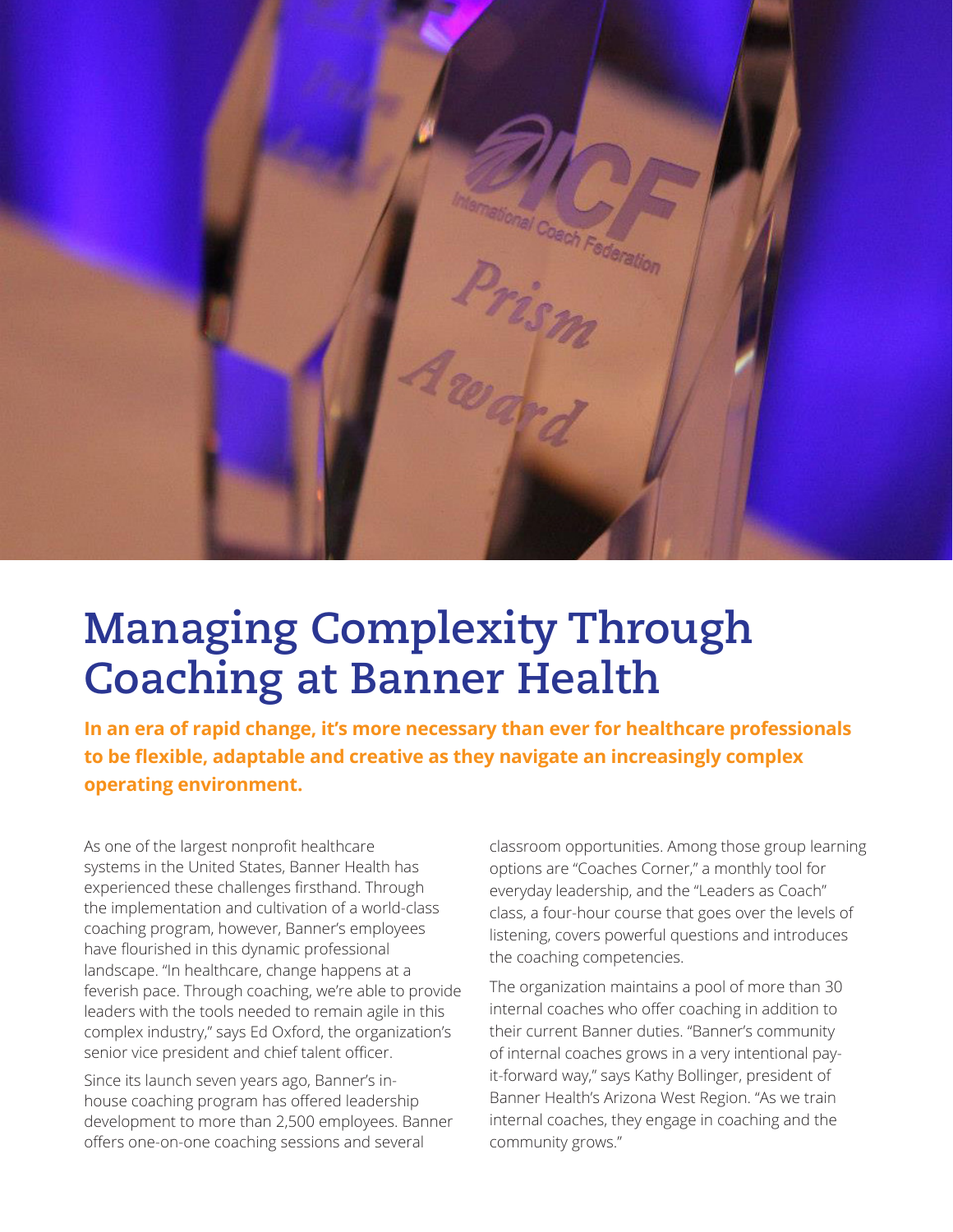

## **Managing Complexity Through Coaching at Banner Health**

**In an era of rapid change, it's more necessary than ever for healthcare professionals to be flexible, adaptable and creative as they navigate an increasingly complex operating environment.** 

As one of the largest nonprofit healthcare systems in the United States, Banner Health has experienced these challenges firsthand. Through the implementation and cultivation of a world-class coaching program, however, Banner's employees have flourished in this dynamic professional landscape. "In healthcare, change happens at a feverish pace. Through coaching, we're able to provide leaders with the tools needed to remain agile in this complex industry," says Ed Oxford, the organization's senior vice president and chief talent officer.

Since its launch seven years ago, Banner's inhouse coaching program has offered leadership development to more than 2,500 employees. Banner offers one-on-one coaching sessions and several

classroom opportunities. Among those group learning options are "Coaches Corner," a monthly tool for everyday leadership, and the "Leaders as Coach" class, a four-hour course that goes over the levels of listening, covers powerful questions and introduces the coaching competencies.

The organization maintains a pool of more than 30 internal coaches who offer coaching in addition to their current Banner duties. "Banner's community of internal coaches grows in a very intentional payit-forward way," says Kathy Bollinger, president of Banner Health's Arizona West Region. "As we train internal coaches, they engage in coaching and the community grows."